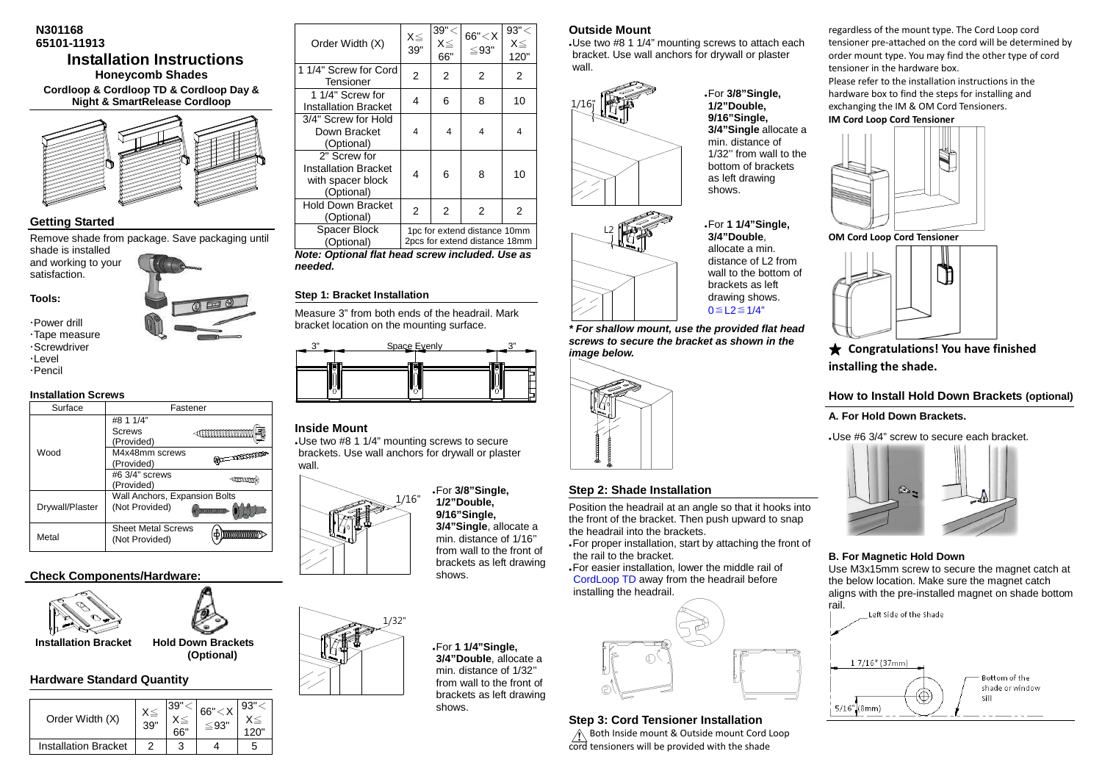## **N301168 65101-11913 Installation Instructions Honeycomb Shades Cordloop & Cordloop TD & Cordloop Day & Night & SmartRelease Cordloop**



## **Getting Started**

Remove shade from package. Save packaging until shade is installed

 and working to your satisfaction.



 Power drill Tape measure Screwdriver

 $\cdot$ I evel

Pencil

## **Installation Screws**

| Surface         | Fastener                                        |                        |  |
|-----------------|-------------------------------------------------|------------------------|--|
| Wood            | #8 1 1/4"<br>Screws<br>(Provided)               |                        |  |
|                 | M4x48mm screws<br>(Provided)                    | $\equiv$ and $\approx$ |  |
|                 | #6 3/4" screws<br>(Provided)                    | 41111111               |  |
| Drywall/Plaster | Wall Anchors, Expansion Bolts<br>(Not Provided) |                        |  |
| Metal           | <b>Sheet Metal Screws</b><br>(Not Provided)     |                        |  |

# **Check Components/Hardware:**



 **Installation Bracket Hold Down Brackets** 

**Hardware Standard Quantity** 

| Order Width (X)             | 39' | 66" | 66" < X | 93" |
|-----------------------------|-----|-----|---------|-----|
| <b>Installation Bracket</b> |     |     |         |     |

 **(Optional)** 

| Order Width (X)                                                                | X≦<br>39" | 39"<br>$X \le$<br>66" | 66'' < X<br>$\leq$ 93"                                        | 93" <<br>$X \leq$<br>120" |
|--------------------------------------------------------------------------------|-----------|-----------------------|---------------------------------------------------------------|---------------------------|
| 1 1/4" Screw for Cord<br>Tensioner                                             | 2         | 2                     | 2                                                             | 2                         |
| 1 1/4" Screw for<br><b>Installation Bracket</b>                                | 4         | 6                     | 8                                                             | 10                        |
| 3/4" Screw for Hold<br>Down Bracket<br>(Optional)                              | 4         | 4                     | 4                                                             | 4                         |
| 2" Screw for<br><b>Installation Bracket</b><br>with spacer block<br>(Optional) | 4         | 6                     | 8                                                             | 10                        |
| <b>Hold Down Bracket</b><br>(Optional)                                         | 2         | 2                     | 2                                                             | 2                         |
| Spacer Block<br>(Optional)                                                     |           |                       | 1pc for extend distance 10mm<br>2pcs for extend distance 18mm |                           |

 **Note: Optional flat head screw included. Use as needed.** 

## **Step 1: Bracket Installation**

Measure 3" from both ends of the headrail. Mark bracket location on the mounting surface.



## **Inside Mount**

 - Use two #8 1 1/4" mounting screws to secure brackets. Use wall anchors for drywall or plaster wall.

1/32"



- For **3/8"Single, 1/2"Double, 9/16"Single, 3/4"Single**, allocate a min. distance of 1/16'' from wall to the front of brackets as left drawing shows.

- For **1 1/4"Single, 3/4"Double**, allocate a min. distance of 1/32'' from wall to the front of brackets as left drawing shows.

## **Outside Mount**

 - Use two #8 1 1/4" mounting screws to attach each bracket. Use wall anchors for drywall or plaster wall.

> - For **3/8"Single, 1/2"Double, 9/16"Single, 3/4"Single** allocate a min. distance of 1/32'' from wall to the bottom of brackets as left drawing shows.

 allocate a min. distance of L2 from wall to the bottom of

 drawing shows. 0≦L2≦1/4"



L2- For **1 1/4"Single, 3/4"Double**, brackets as left

**\* For shallow mount, use the provided flat head screws to secure the bracket as shown in the image below.** 



# **Step 2: Shade Installation**

Position the headrail at an angle so that it hooks into the front of the bracket. Then push upward to snap the headrail into the brackets.

 - For proper installation, start by attaching the front of the rail to the bracket.

 - For easier installation, lower the middle rail of CordLoop TD away from the headrail before installing the headrail.



#### **Step 3: Cord Tensioner Installation**

 $\hat{A}$  Both Inside mount & Outside mount Cord Loop cord tensioners will be provided with the shade

regardless of the mount type. The Cord Loop cord tensioner pre-attached on the cord will be determined by order mount type. You may find the other type of cord tensioner in the hardware box. Please refer to the installation instructions in the hardware box to find the steps for installing and exchanging the IM & OM Cord Tensioners.

**IM Cord Loop Cord Tensioner** 



**OM Cord Loop Cord Tensioner**



★ **Congratulations! You have finished installing the shade.** 

**How to Install Hold Down Brackets (optional)** 

**A. For Hold Down Brackets.** 

- Use #6 3/4" screw to secure each bracket.



#### **B. For Magnetic Hold Down**

 Use M3x15mm screw to secure the magnet catch at the below location. Make sure the magnet catch aligns with the pre-installed magnet on shade bottom